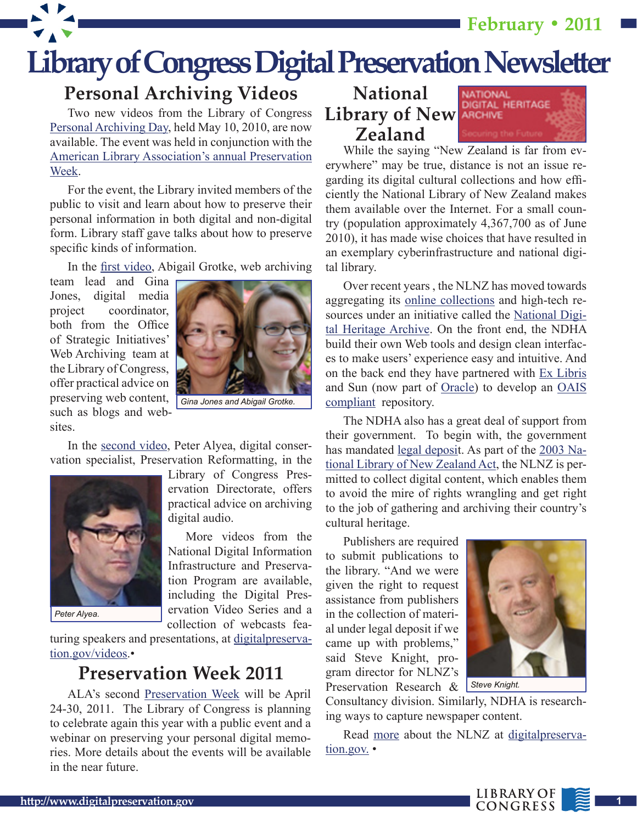**February • 2011**



#### **Personal Archiving Videos**

Two new videos from the Library of Congress [Personal Archiving Day,](http://www.digitalpreservation.gov/news/2010/20100519news_article_personal_archiving_day.html) held May 10, 2010, are now available. The event was held in conjunction with the [American Library Association's annual Preservation](http://www.ala.org/ala/mgrps/divs/alcts/confevents/preswk/index.cfm) [Week.](http://www.ala.org/ala/mgrps/divs/alcts/confevents/preswk/index.cfm)

For the event, the Library invited members of the public to visit and learn about how to preserve their personal information in both digital and non-digital form. Library staff gave talks about how to preserve specific kinds of information.

In the [first video](http://www.digitalpreservation.gov/videos/personal_archiving/web_content.html), Abigail Grotke, web archiving

team lead and Gina Jones, digital media project coordinator, both from the Office of Strategic Initiatives' Web Archiving team at the Library of Congress, offer practical advice on preserving web content, such as blogs and websites.



In the [second video,](http://www.digitalpreservation.gov/videos/personal_archiving/audio.html) Peter Alyea, digital conservation specialist, Preservation Reformatting, in the



*Peter Alyea.*

Library of Congress Preservation Directorate, offers practical advice on archiving digital audio.

More videos from the National Digital Information Infrastructure and Preservation Program are available, including the Digital Preservation Video Series and a collection of webcasts fea-

turing speakers and presentations, at [digitalpreserva](http://www.digitalpreservation.gov/videos/index.html)[tion.gov/videos](http://www.digitalpreservation.gov/videos/index.html).•

#### **Preservation Week 2011**

ALA's second [Preservation Week](http://www.ala.org/ala/mgrps/divs/alcts/confevents/preswk/index.cfm) will be April 24-30, 2011. The Library of Congress is planning to celebrate again this year with a public event and a webinar on preserving your personal digital memories. More details about the events will be available in the near future.

**National Library of New Zealand** 



While the saying "New Zealand is far from everywhere" may be true, distance is not an issue regarding its digital cultural collections and how efficiently the National Library of New Zealand makes them available over the Internet. For a small country (population approximately 4,367,700 as of June 2010), it has made wise choices that have resulted in an exemplary cyberinfrastructure and national digital library.

Over recent years , the NLNZ has moved towards aggregating its [online collections](http://www.natlib.govt.nz/collections/digital-collections) and high-tech resources under an initiative called the [National Digi](http://www.natlib.govt.nz/about-us/current-initiatives/ndha)[tal Heritage Archive](http://www.natlib.govt.nz/about-us/current-initiatives/ndha). On the front end, the NDHA build their own Web tools and design clean interfaces to make users' experience easy and intuitive. And on the back end they have partnered with [Ex Libris](http://www.exlibrisgroup.com/)  and Sun (now part of [Oracle\)](http://www.oracle.com/us/sun/index.htm) to develop an [OAIS](http://en.wikipedia.org/wiki/Open_Archival_Information_System)  [compliant](http://en.wikipedia.org/wiki/Open_Archival_Information_System) repository.

The NDHA also has a great deal of support from their government. To begin with, the government has mandated <u>legal deposi</u>t. As part of the [2003 Na](http://www.legislation.govt.nz/act/public/2003/0019/latest/096be8ed804448c8.pdf)[tional Library of New Zealand Act,](http://www.legislation.govt.nz/act/public/2003/0019/latest/DLM191962.html) the NLNZ is permitted to collect digital content, which enables them to avoid the mire of rights wrangling and get right to the job of gathering and archiving their country's cultural heritage.

Publishers are required to submit publications to the library. "And we were given the right to request assistance from publishers in the collection of material under legal deposit if we came up with problems," said Steve Knight, program director for NLNZ's Preservation Research &



Consultancy division. Similarly, NDHA is researching ways to capture newspaper content.

Read [more](http://www.digitalpreservation.gov/edge/edge_nlnz.html) about the NLNZ at [digitalpreserva](http://www.digitalpreservation.gov/index.html)[tion.gov.](http://www.digitalpreservation.gov/index.html) •